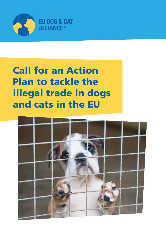

# Call for an Action Plan to tackle the illegal trade in dogs and cats in the EU

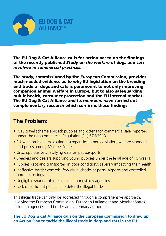

The EU Dog & Cat Alliance calls for action based on the findings of the recently published *Study on the welfare of dogs and cats involved in commercial practices*.

The study, commissioned by the European Commission, provides much-needed evidence as to why EU legislation on the breeding and trade of dogs and cats is paramount to not only improving companion animal welfare in Europe, but to also safeguarding public health, consumer protection and the EU internal market. The EU Dog & Cat Alliance and its members have carried out complementary research which confirms these findings.

## **The Problem:**



- PETS travel scheme abused: puppies and kittens for commercial sale imported under the non-commercial Regulation (EU) 576/2013
- EU-wide problem, exploiting discrepancies in pet legislation, welfare standards and prices among Member States
- Unscrupulous vets falsifying data on pet passports
- Breeders and dealers supplying young puppies under the legal age of 15 weeks
- Puppies kept and transported in poor conditions, severely impacting their health
- Ineffective border controls, few visual checks at ports, airports and controlled border crossings
- Negligible sharing of intelligence amongst key agencies
- Lack of sufficient penalties to deter the illegal trade

This illegal trade can only be addressed through a comprehensive approach, involving the European Commission, European Parliament and Member States, including agencies and border and veterinary authorities.

**The EU Dog & Cat Alliance calls on the European Commission to draw up an Action Plan to tackle the illegal trade in dogs and cats in the EU.**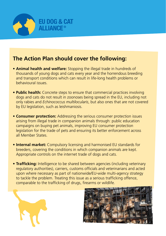

## **The Action Plan should cover the following:**

- **Animal health and welfare:** Stopping the illegal trade in hundreds of thousands of young dogs and cats every year and the horrendous breeding and transport conditions which can result in life-long health problems or behavioural issues.
- **Public health:** Concrete steps to ensure that commercial practices involving dogs and cats do not result in zoonoses being spread in the EU, including not only rabies and *Echinococcus multilocularis*, but also ones that are not covered by EU legislation, such as leishmaniosis.
- **Consumer protection:** Addressing the serious consumer protection issues arising from illegal trade in companion animals through: public education campaigns on buying pet animals, improving EU consumer protection legislation for the trade of pets and ensuring its better enforcement across all Member States.
- **Internal market:** Compulsory licensing and harmonised EU standards for breeders, covering the conditions in which companion animals are kept. Appropriate controls on the internet trade of dogs and cats.
- **Trafficking:** Intelligence to be shared between agencies (including veterinary regulatory authorities), carriers, customs officials and veterinarians and acted upon where necessary as part of nationwide/EU-wide multi-agency strategy to tackle the problem. Treating this issue as a serious trafficking offence, comparable to the trafficking of drugs, firearms or wildlife.